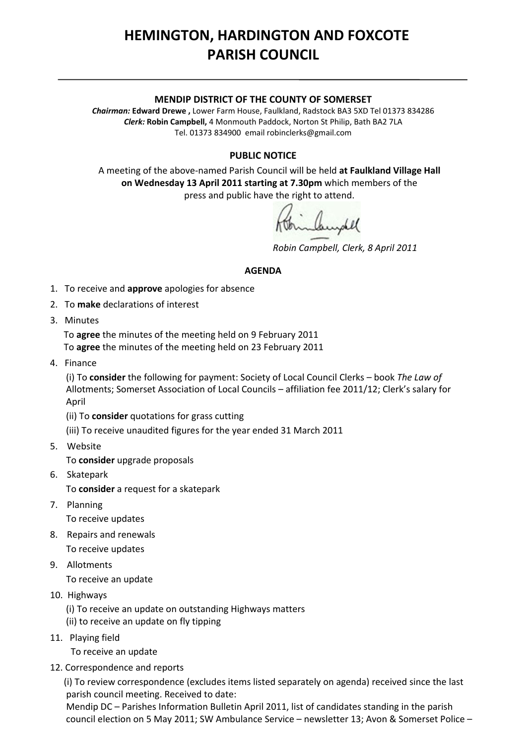## **HEMINGTON, HARDINGTON AND FOXCOTE PARISH COUNCIL**

## **MENDIP DISTRICT OF THE COUNTY OF SOMERSET**

*Chairman:* **Edward Drewe ,** Lower Farm House, Faulkland, Radstock BA3 5XD Tel 01373 834286 *Clerk:* **Robin Campbell,** 4 Monmouth Paddock, Norton St Philip, Bath BA2 7LA Tel. 01373 834900 email [robinclerks@gmail.com](mailto:robinclerks@googlemail.com)

## **PUBLIC NOTICE**

A meeting of the above‐named Parish Council will be held **at Faulkland Village Hall on Wednesday 13 April 2011 starting at 7.30pm** which members of the press and public have the right to attend.

*Robin Campbell, Clerk, 8 April 2011*

## **AGENDA**

- 1. To receive and **approve** apologies for absence
- 2. To **make** declarations of interest
- 3. Minutes

 To **agree** the minutes of the meeting held on 9 February 2011 To **agree** the minutes of the meeting held on 23 February 2011

4. Finance

 (i) To **consider** the following for payment: Society of Local Council Clerks – book *The Law of* Allotments; Somerset Association of Local Councils – affiliation fee 2011/12; Clerk's salary for April

(ii) To **consider** quotations for grass cutting

(iii) To receive unaudited figures for the year ended 31 March 2011

5. Website

To **consider** upgrade proposals

6. Skatepark

To **consider** a request for a skatepark

7. Planning

To receive updates

8. Repairs and renewals

To receive updates

- 9. Allotments To receive an update
- 10. Highways
	- (i) To receive an update on outstanding Highways matters
	- (ii) to receive an update on fly tipping
- 11. Playing field
	- To receive an update
- 12. Correspondence and reports

 (i) To review correspondence (excludes items listed separately on agenda) received since the last parish council meeting. Received to date:

 Mendip DC – Parishes Information Bulletin April 2011, list of candidates standing in the parish council election on 5 May 2011; SW Ambulance Service – newsletter 13; Avon & Somerset Police –